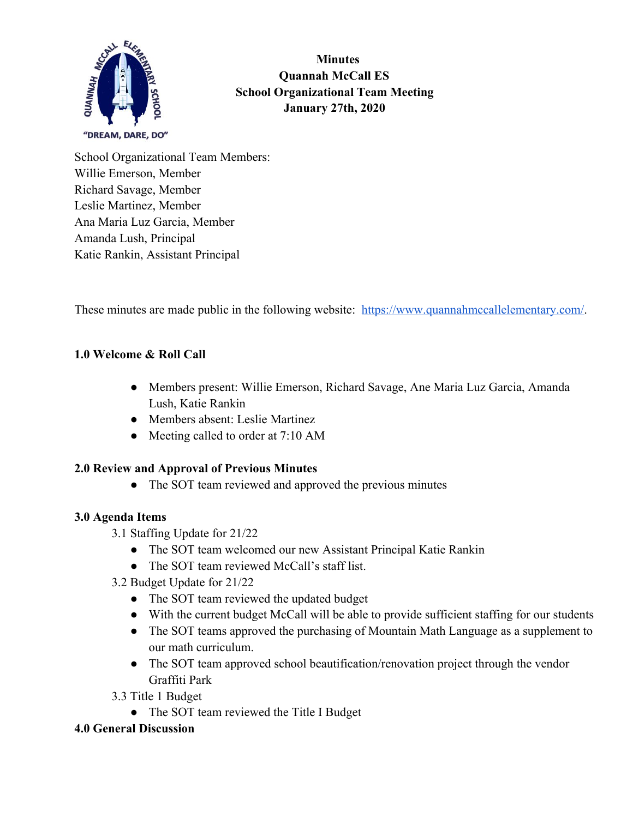

 **Minutes Quannah McCall ES School Organizational Team Meeting January 27th, 2020**

School Organizational Team Members: Willie Emerson, Member Richard Savage, Member Leslie Martinez, Member Ana Maria Luz Garcia, Member Amanda Lush, Principal Katie Rankin, Assistant Principal

These minutes are made public in the following website: [https://www.quannahmccallelementary.com/.](https://www.quannahmccallelementary.com/)

### **1.0 Welcome & Roll Call**

- Members present: Willie Emerson, Richard Savage, Ane Maria Luz Garcia, Amanda Lush, Katie Rankin
- Members absent: Leslie Martinez
- Meeting called to order at 7:10 AM

### **2.0 Review and Approval of Previous Minutes**

• The SOT team reviewed and approved the previous minutes

### **3.0 Agenda Items**

- 3.1 Staffing Update for 21/22
	- The SOT team welcomed our new Assistant Principal Katie Rankin
	- The SOT team reviewed McCall's staff list.
- 3.2 Budget Update for 21/22
	- The SOT team reviewed the updated budget
	- With the current budget McCall will be able to provide sufficient staffing for our students
	- The SOT teams approved the purchasing of Mountain Math Language as a supplement to our math curriculum.
	- The SOT team approved school beautification/renovation project through the vendor Graffiti Park

3.3 Title 1 Budget

• The SOT team reviewed the Title I Budget

### **4.0 General Discussion**